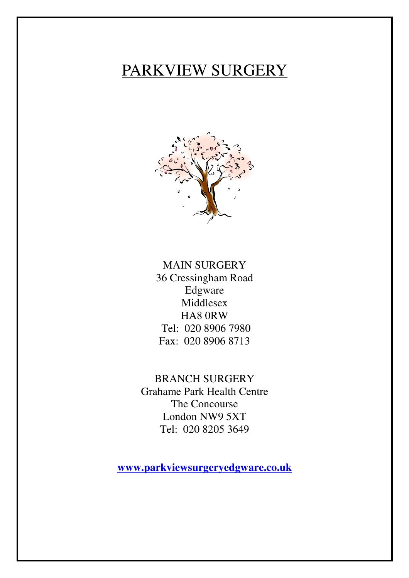# PARKVIEW SURGERY



MAIN SURGERY 36 Cressingham Road Edgware Middlesex HA8 0RW Tel: 020 8906 7980 Fax: 020 8906 8713

BRANCH SURGERY Grahame Park Health Centre The Concourse London NW9 5XT Tel: 020 8205 3649

**www.parkviewsurgeryedgware.co.uk**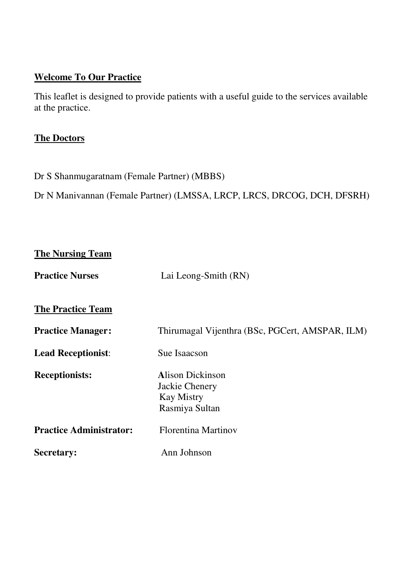#### **Welcome To Our Practice**

This leaflet is designed to provide patients with a useful guide to the services available at the practice.

#### **The Doctors**

Dr S Shanmugaratnam (Female Partner) (MBBS)

Dr N Manivannan (Female Partner) (LMSSA, LRCP, LRCS, DRCOG, DCH, DFSRH)

| <b>The Nursing Team</b>        |                                                                                  |
|--------------------------------|----------------------------------------------------------------------------------|
| <b>Practice Nurses</b>         | Lai Leong-Smith (RN)                                                             |
| <b>The Practice Team</b>       |                                                                                  |
| <b>Practice Manager:</b>       | Thirumagal Vijenthra (BSc, PGCert, AMSPAR, ILM)                                  |
| <b>Lead Receptionist:</b>      | Sue Isaacson                                                                     |
| <b>Receptionists:</b>          | <b>Alison Dickinson</b><br>Jackie Chenery<br><b>Kay Mistry</b><br>Rasmiya Sultan |
| <b>Practice Administrator:</b> | <b>Florentina Martinov</b>                                                       |
| <b>Secretary:</b>              | Ann Johnson                                                                      |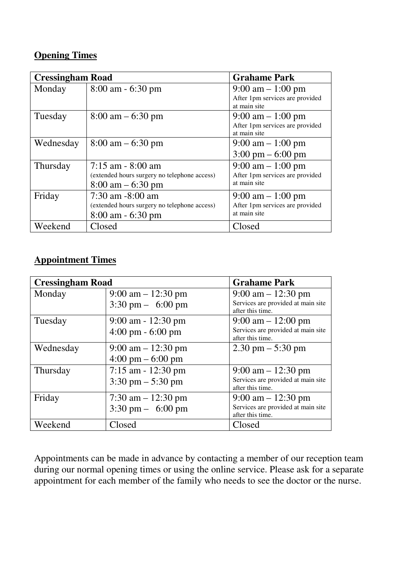#### **Opening Times**

| <b>Cressingham Road</b> |                                              | <b>Grahame Park</b>                                                    |
|-------------------------|----------------------------------------------|------------------------------------------------------------------------|
| Monday                  | $8:00$ am $-6:30$ pm                         | $9:00 \text{ am} - 1:00 \text{ pm}$<br>After 1pm services are provided |
|                         |                                              | at main site                                                           |
| Tuesday                 | $8:00 \text{ am} - 6:30 \text{ pm}$          | $9:00 \text{ am} - 1:00 \text{ pm}$                                    |
|                         |                                              | After 1pm services are provided<br>at main site                        |
| Wednesday               | $8:00 \text{ am} - 6:30 \text{ pm}$          | $9:00 \text{ am} - 1:00 \text{ pm}$                                    |
|                         |                                              | $3:00 \text{ pm} - 6:00 \text{ pm}$                                    |
| Thursday                | $7:15$ am $-8:00$ am                         | $9:00 \text{ am} - 1:00 \text{ pm}$                                    |
|                         | (extended hours surgery no telephone access) | After 1pm services are provided                                        |
|                         | $8:00 \text{ am} - 6:30 \text{ pm}$          | at main site                                                           |
| Friday                  | $7:30$ am $-8:00$ am                         | $9:00 \text{ am} - 1:00 \text{ pm}$                                    |
|                         | (extended hours surgery no telephone access) | After 1pm services are provided                                        |
|                         | $8:00$ am $-6:30$ pm                         | at main site                                                           |
| Weekend                 | Closed                                       | Closed                                                                 |

#### **Appointment Times**

| <b>Cressingham Road</b> |                                      | <b>Grahame Park</b>                                    |
|-------------------------|--------------------------------------|--------------------------------------------------------|
| Monday                  | $9:00 \text{ am} - 12:30 \text{ pm}$ | $9:00 \text{ am} - 12:30 \text{ pm}$                   |
|                         | $3:30 \text{ pm} - 6:00 \text{ pm}$  | Services are provided at main site<br>after this time. |
| Tuesday                 | $9:00$ am - 12:30 pm                 | $9:00 \text{ am} - 12:00 \text{ pm}$                   |
|                         | $4:00 \text{ pm} - 6:00 \text{ pm}$  | Services are provided at main site<br>after this time. |
| Wednesday               | $9:00 \text{ am} - 12:30 \text{ pm}$ | $2.30 \text{ pm} - 5:30 \text{ pm}$                    |
|                         | $4:00 \text{ pm} - 6:00 \text{ pm}$  |                                                        |
| Thursday                | $7:15$ am $-12:30$ pm                | $9:00 \text{ am} - 12:30 \text{ pm}$                   |
|                         | $3:30 \text{ pm} - 5:30 \text{ pm}$  | Services are provided at main site<br>after this time. |
| Friday                  | $7:30$ am $-12:30$ pm                | $9:00 \text{ am} - 12:30 \text{ pm}$                   |
|                         | $3:30 \text{ pm} - 6:00 \text{ pm}$  | Services are provided at main site<br>after this time. |
| Weekend                 | Closed                               | Closed                                                 |

Appointments can be made in advance by contacting a member of our reception team during our normal opening times or using the online service. Please ask for a separate appointment for each member of the family who needs to see the doctor or the nurse.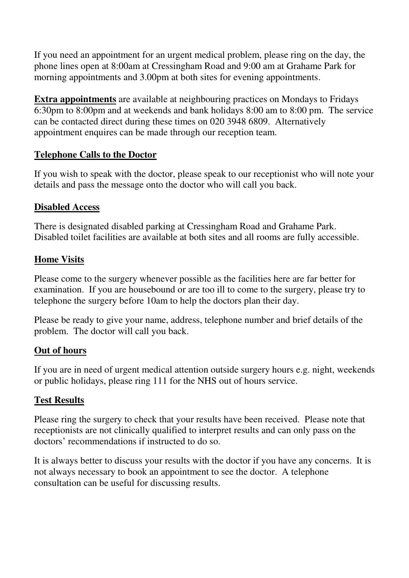If you need an appointment for an urgent medical problem, please ring on the day, the phone lines open at 8:00am at Cressingham Road and 9:00 am at Grahame Park for morning appointments and 3.00pm at both sites for evening appointments.

**Extra appointments** are available at neighbouring practices on Mondays to Fridays 6:30pm to 8:00pm and at weekends and bank holidays 8:00 am to 8:00 pm. The service can be contacted direct during these times on 020 3948 6809. Alternatively appointment enquires can be made through our reception team.

#### **Telephone Calls to the Doctor**

If you wish to speak with the doctor, please speak to our receptionist who will note your details and pass the message onto the doctor who will call you back.

#### **Disabled Access**

There is designated disabled parking at Cressingham Road and Grahame Park. Disabled toilet facilities are available at both sites and all rooms are fully accessible.

#### **Home Visits**

Please come to the surgery whenever possible as the facilities here are far better for examination. If you are housebound or are too ill to come to the surgery, please try to telephone the surgery before 10am to help the doctors plan their day.

Please be ready to give your name, address, telephone number and brief details of the problem. The doctor will call you back.

#### **Out of hours**

If you are in need of urgent medical attention outside surgery hours e.g. night, weekends or public holidays, please ring 111 for the NHS out of hours service.

#### **Test Results**

Please ring the surgery to check that your results have been received. Please note that receptionists are not clinically qualified to interpret results and can only pass on the doctors' recommendations if instructed to do so.

It is always better to discuss your results with the doctor if you have any concerns. It is not always necessary to book an appointment to see the doctor. A telephone consultation can be useful for discussing results.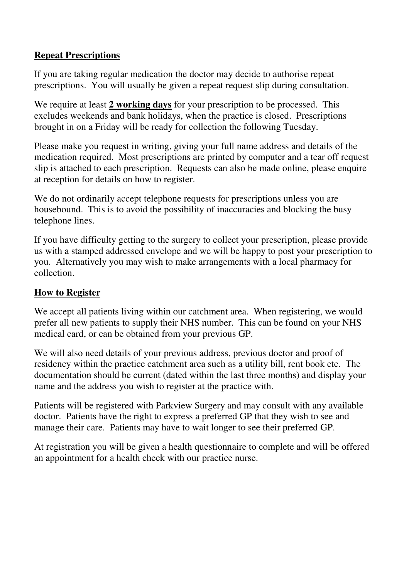#### **Repeat Prescriptions**

If you are taking regular medication the doctor may decide to authorise repeat prescriptions. You will usually be given a repeat request slip during consultation.

We require at least **2 working days** for your prescription to be processed. This excludes weekends and bank holidays, when the practice is closed. Prescriptions brought in on a Friday will be ready for collection the following Tuesday.

Please make you request in writing, giving your full name address and details of the medication required. Most prescriptions are printed by computer and a tear off request slip is attached to each prescription. Requests can also be made online, please enquire at reception for details on how to register.

We do not ordinarily accept telephone requests for prescriptions unless you are housebound. This is to avoid the possibility of inaccuracies and blocking the busy telephone lines.

If you have difficulty getting to the surgery to collect your prescription, please provide us with a stamped addressed envelope and we will be happy to post your prescription to you. Alternatively you may wish to make arrangements with a local pharmacy for collection.

#### **How to Register**

We accept all patients living within our catchment area. When registering, we would prefer all new patients to supply their NHS number. This can be found on your NHS medical card, or can be obtained from your previous GP.

We will also need details of your previous address, previous doctor and proof of residency within the practice catchment area such as a utility bill, rent book etc. The documentation should be current (dated within the last three months) and display your name and the address you wish to register at the practice with.

Patients will be registered with Parkview Surgery and may consult with any available doctor. Patients have the right to express a preferred GP that they wish to see and manage their care. Patients may have to wait longer to see their preferred GP.

At registration you will be given a health questionnaire to complete and will be offered an appointment for a health check with our practice nurse.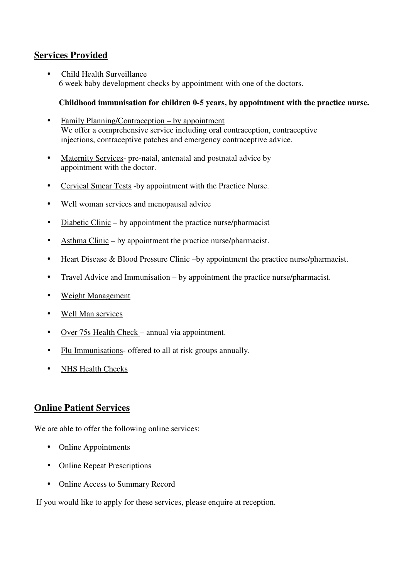#### **Services Provided**

• Child Health Surveillance 6 week baby development checks by appointment with one of the doctors.

#### **Childhood immunisation for children 0-5 years, by appointment with the practice nurse.**

- Family Planning/Contraception by appointment We offer a comprehensive service including oral contraception, contraceptive injections, contraceptive patches and emergency contraceptive advice.
- Maternity Services- pre-natal, antenatal and postnatal advice by appointment with the doctor.
- Cervical Smear Tests -by appointment with the Practice Nurse.
- Well woman services and menopausal advice
- Diabetic Clinic by appointment the practice nurse/pharmacist
- Asthma Clinic by appointment the practice nurse/pharmacist.
- Heart Disease & Blood Pressure Clinic –by appointment the practice nurse/pharmacist.
- Travel Advice and Immunisation by appointment the practice nurse/pharmacist.
- Weight Management
- Well Man services
- Over 75s Health Check annual via appointment.
- Flu Immunisations- offered to all at risk groups annually.
- NHS Health Checks

#### **Online Patient Services**

We are able to offer the following online services:

- Online Appointments
- Online Repeat Prescriptions
- Online Access to Summary Record

If you would like to apply for these services, please enquire at reception.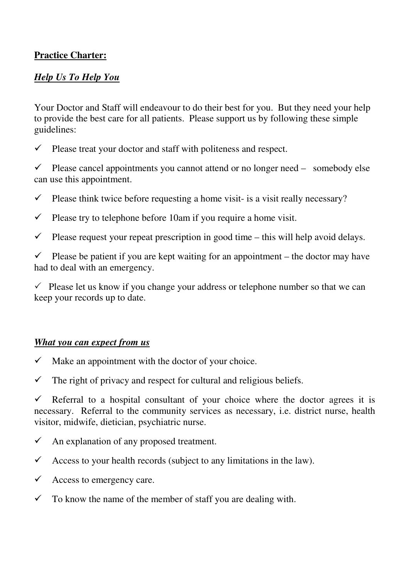#### **Practice Charter:**

#### *Help Us To Help You*

Your Doctor and Staff will endeavour to do their best for you. But they need your help to provide the best care for all patients. Please support us by following these simple guidelines:

 $\checkmark$  Please treat your doctor and staff with politeness and respect.

 $\checkmark$  Please cancel appointments you cannot attend or no longer need – somebody else can use this appointment.

 $\checkmark$  Please think twice before requesting a home visit- is a visit really necessary?

 $\checkmark$  Please try to telephone before 10am if you require a home visit.

 $\checkmark$  Please request your repeat prescription in good time – this will help avoid delays.

 $\checkmark$  Please be patient if you are kept waiting for an appointment – the doctor may have had to deal with an emergency.

 $\checkmark$  Please let us know if you change your address or telephone number so that we can keep your records up to date.

#### *What you can expect from us*

- $\checkmark$  Make an appointment with the doctor of your choice.
- $\checkmark$  The right of privacy and respect for cultural and religious beliefs.

 $\checkmark$  Referral to a hospital consultant of your choice where the doctor agrees it is necessary. Referral to the community services as necessary, i.e. district nurse, health visitor, midwife, dietician, psychiatric nurse.

- $\checkmark$  An explanation of any proposed treatment.
- $\checkmark$  Access to your health records (subject to any limitations in the law).
- $\checkmark$  Access to emergency care.
- $\checkmark$  To know the name of the member of staff you are dealing with.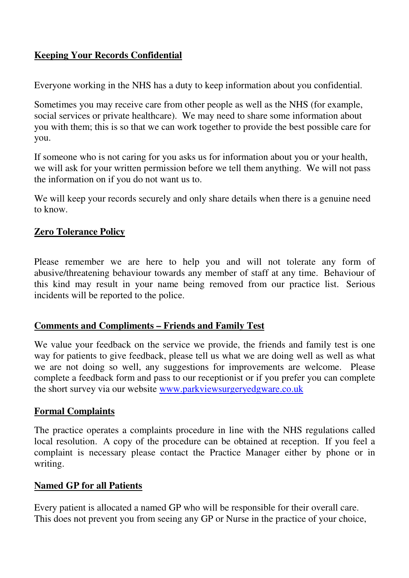#### **Keeping Your Records Confidential**

Everyone working in the NHS has a duty to keep information about you confidential.

Sometimes you may receive care from other people as well as the NHS (for example, social services or private healthcare). We may need to share some information about you with them; this is so that we can work together to provide the best possible care for you.

If someone who is not caring for you asks us for information about you or your health, we will ask for your written permission before we tell them anything. We will not pass the information on if you do not want us to.

We will keep your records securely and only share details when there is a genuine need to know.

### **Zero Tolerance Policy**

Please remember we are here to help you and will not tolerate any form of abusive/threatening behaviour towards any member of staff at any time. Behaviour of this kind may result in your name being removed from our practice list. Serious incidents will be reported to the police.

#### **Comments and Compliments – Friends and Family Test**

We value your feedback on the service we provide, the friends and family test is one way for patients to give feedback, please tell us what we are doing well as well as what we are not doing so well, any suggestions for improvements are welcome. Please complete a feedback form and pass to our receptionist or if you prefer you can complete the short survey via our website www.parkviewsurgeryedgware.co.uk

#### **Formal Complaints**

The practice operates a complaints procedure in line with the NHS regulations called local resolution. A copy of the procedure can be obtained at reception. If you feel a complaint is necessary please contact the Practice Manager either by phone or in writing.

#### **Named GP for all Patients**

Every patient is allocated a named GP who will be responsible for their overall care. This does not prevent you from seeing any GP or Nurse in the practice of your choice,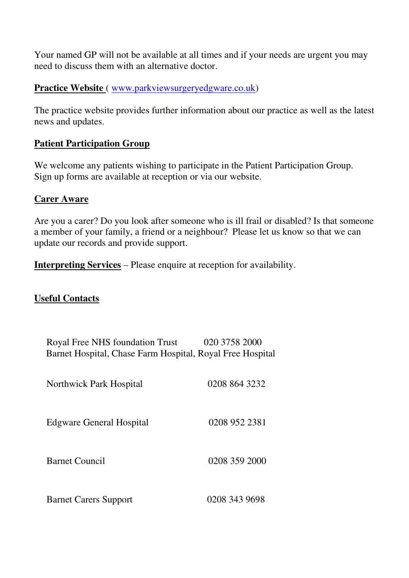Your named GP will not be available at all times and if your needs are urgent you may need to discuss them with an alternative doctor.

#### **Practice Website** ( www.parkviewsurgeryedgware.co.uk)

The practice website provides further information about our practice as well as the latest news and updates.

#### **Patient Participation Group**

We welcome any patients wishing to participate in the Patient Participation Group. Sign up forms are available at reception or via our website.

#### **Carer Aware**

Are you a carer? Do you look after someone who is ill frail or disabled? Is that someone a member of your family, a friend or a neighbour? Please let us know so that we can update our records and provide support.

**Interpreting Services** – Please enquire at reception for availability.

#### **Useful Contacts**

| Royal Free NHS foundation Trust<br>Barnet Hospital, Chase Farm Hospital, Royal Free Hospital | 020 3758 2000 |
|----------------------------------------------------------------------------------------------|---------------|
| <b>Northwick Park Hospital</b>                                                               | 0208 864 3232 |
| <b>Edgware General Hospital</b>                                                              | 0208 952 2381 |
| <b>Barnet Council</b>                                                                        | 0208 359 2000 |
| <b>Barnet Carers Support</b>                                                                 | 0208 343 9698 |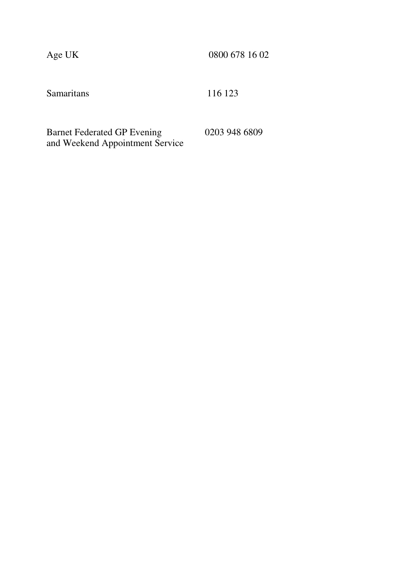Age UK 0800 678 16 02

Samaritans 116 123

Barnet Federated GP Evening 0203 948 6809 and Weekend Appointment Service